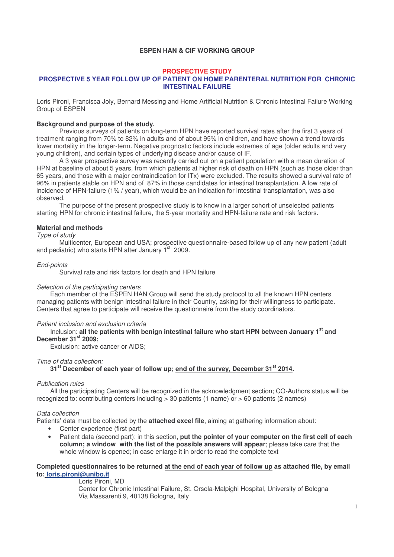## **ESPEN HAN & CIF WORKING GROUP**

# **PROSPECTIVE STUDY**

### **PROSPECTIVE 5 YEAR FOLLOW UP OF PATIENT ON HOME PARENTERAL NUTRITION FOR CHRONIC INTESTINAL FAILURE**

Loris Pironi, Francisca Joly, Bernard Messing and Home Artificial Nutrition & Chronic Intestinal Failure Working Group of ESPEN

#### **Background and purpose of the study.**

Previous surveys of patients on long-term HPN have reported survival rates after the first 3 years of treatment ranging from 70% to 82% in adults and of about 95% in children, and have shown a trend towards lower mortality in the longer-term. Negative prognostic factors include extremes of age (older adults and very young children), and certain types of underlying disease and/or cause of IF.

A 3 year prospective survey was recently carried out on a patient population with a mean duration of HPN at baseline of about 5 years, from which patients at higher risk of death on HPN (such as those older than 65 years, and those with a major contraindication for ITx) were excluded. The results showed a survival rate of 96% in patients stable on HPN and of 87% in those candidates for intestinal transplantation. A low rate of incidence of HPN-failure (1% / year), which would be an indication for intestinal transplantation, was also observed.

The purpose of the present prospective study is to know in a larger cohort of unselected patients starting HPN for chronic intestinal failure, the 5-year mortality and HPN-failure rate and risk factors.

#### **Material and methods**

### *Type of study*

Multicenter, European and USA; prospective questionnaire-based follow up of any new patient (adult and pediatric) who starts HPN after January 1<sup>st</sup> 2009.

#### *End-points*

Survival rate and risk factors for death and HPN failure

#### *Selection of the participating centers*

Each member of the ESPEN HAN Group will send the study protocol to all the known HPN centers managing patients with benign intestinal failure in their Country, asking for their willingness to participate. Centers that agree to participate will receive the questionnaire from the study coordinators.

#### *Patient inclusion and exclusion criteria*

## Inclusion: **all the patients with benign intestinal failure who start HPN between January 1 st and December 31 st 2009;**

Exclusion: active cancer or AIDS;

#### *Time of data collection:*

**31 st December of each year of follow up; end of the survey, December 31 st 2014.**

### *Publication rules*

All the participating Centers will be recognized in the acknowledgment section; CO-Authors status will be recognized to: contributing centers including > 30 patients (1 name) or > 60 patients (2 names)

#### *Data collection*

Patients' data must be collected by the **attached excel file**, aiming at gathering information about:

- Center experience (first part)
- Patient data (second part): in this section, **put the pointer of your computer on the first cell of each column; a window with the list of the possible answers will appear**; please take care that the whole window is opened; in case enlarge it in order to read the complete text

# Completed questionnaires to be returned at the end of each year of follow up as attached file, by email **to: loris.pironi@unibo.it**

### Loris Pironi, MD

Center for Chronic Intestinal Failure, St. Orsola-Malpighi Hospital, University of Bologna Via Massarenti 9, 40138 Bologna, Italy